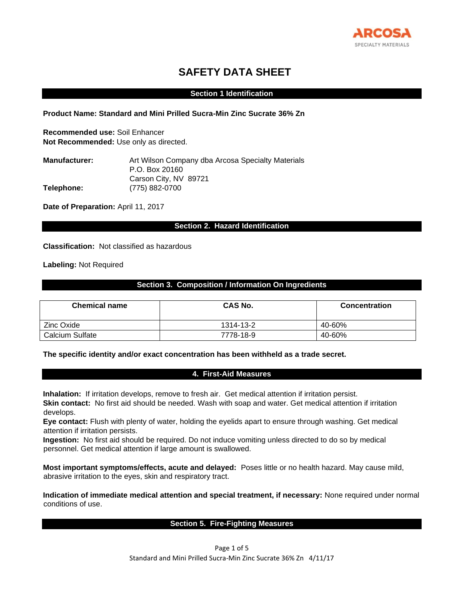

# **SAFETY DATA SHEET**

### **Section 1 Identification**

**Product Name: Standard and Mini Prilled Sucra-Min Zinc Sucrate 36% Zn** 

**Recommended use:** Soil Enhancer **Not Recommended:** Use only as directed.

| <b>Manufacturer:</b> | Art Wilson Company dba Arcosa Specialty Materials |
|----------------------|---------------------------------------------------|
|                      | P.O. Box 20160                                    |
|                      | Carson City, NV 89721                             |
| Telephone:           | (775) 882-0700                                    |

Date of Preparation: April 11, 2017

# **Section 2. Hazard Identification**

**Classification:** Not classified as hazardous

**Labeling:** Not Required

## **Section 3. Composition / Information On Ingredients**

| <b>Chemical name</b>   | CAS No.   | <b>Concentration</b> |
|------------------------|-----------|----------------------|
| Zinc Oxide             | 1314-13-2 | 40-60%               |
| <b>Calcium Sulfate</b> | 7778-18-9 | 40-60%               |

### **The specific identity and/or exact concentration has been withheld as a trade secret.**

### **4. First-Aid Measures**

**Inhalation:** If irritation develops, remove to fresh air. Get medical attention if irritation persist. **Skin contact:** No first aid should be needed. Wash with soap and water. Get medical attention if irritation develops.

**Eye contact:** Flush with plenty of water, holding the eyelids apart to ensure through washing. Get medical attention if irritation persists.

**Ingestion:** No first aid should be required. Do not induce vomiting unless directed to do so by medical personnel. Get medical attention if large amount is swallowed.

**Most important symptoms/effects, acute and delayed:** Poses little or no health hazard. May cause mild, abrasive irritation to the eyes, skin and respiratory tract.

**Indication of immediate medical attention and special treatment, if necessary:** None required under normal conditions of use.

### **Section 5. Fire-Fighting Measures**

Page 1 of 5 Standard and Mini Prilled Sucra-Min Zinc Sucrate 36% Zn 4/11/17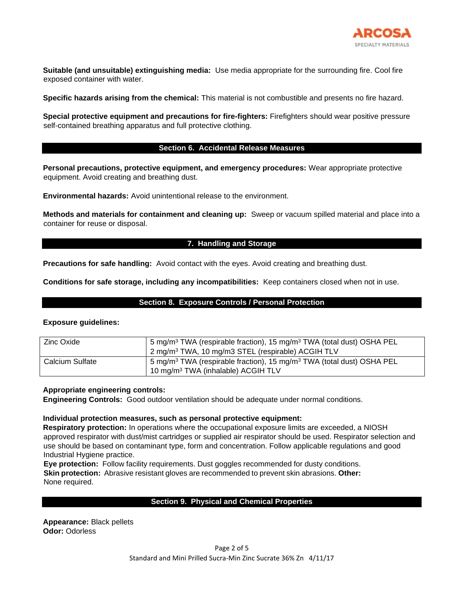

**Suitable (and unsuitable) extinguishing media:** Use media appropriate for the surrounding fire. Cool fire exposed container with water.

**Specific hazards arising from the chemical:** This material is not combustible and presents no fire hazard.

**Special protective equipment and precautions for fire-fighters:** Firefighters should wear positive pressure self-contained breathing apparatus and full protective clothing.

### **Section 6. Accidental Release Measures**

**Personal precautions, protective equipment, and emergency procedures:** Wear appropriate protective equipment. Avoid creating and breathing dust.

**Environmental hazards:** Avoid unintentional release to the environment.

**Methods and materials for containment and cleaning up:** Sweep or vacuum spilled material and place into a container for reuse or disposal.

### **7. Handling and Storage**

**Precautions for safe handling:** Avoid contact with the eyes. Avoid creating and breathing dust.

**Conditions for safe storage, including any incompatibilities:** Keep containers closed when not in use.

### **Section 8. Exposure Controls / Personal Protection**

### **Exposure guidelines:**

| Zinc Oxide      | 5 mg/m <sup>3</sup> TWA (respirable fraction), 15 mg/m <sup>3</sup> TWA (total dust) OSHA PEL<br>2 mg/m <sup>3</sup> TWA, 10 mg/m3 STEL (respirable) ACGIH TLV |
|-----------------|----------------------------------------------------------------------------------------------------------------------------------------------------------------|
| Calcium Sulfate | 5 mg/m <sup>3</sup> TWA (respirable fraction), 15 mg/m <sup>3</sup> TWA (total dust) OSHA PEL<br>10 mg/m <sup>3</sup> TWA (inhalable) ACGIH TLV                |

### **Appropriate engineering controls:**

**Engineering Controls:** Good outdoor ventilation should be adequate under normal conditions.

### **Individual protection measures, such as personal protective equipment:**

**Respiratory protection:** In operations where the occupational exposure limits are exceeded, a NIOSH approved respirator with dust/mist cartridges or supplied air respirator should be used. Respirator selection and use should be based on contaminant type, form and concentration. Follow applicable regulations and good Industrial Hygiene practice.

**Eye protection:** Follow facility requirements. Dust goggles recommended for dusty conditions. **Skin protection:** Abrasive resistant gloves are recommended to prevent skin abrasions. **Other:**  None required.

# **Section 9. Physical and Chemical Properties**

**Appearance:** Black pellets **Odor:** Odorless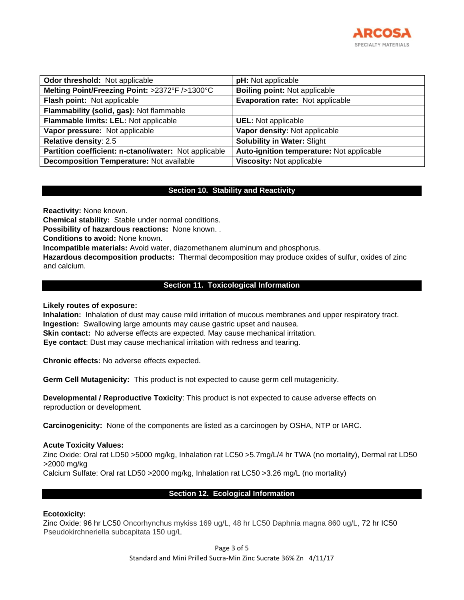

| Odor threshold: Not applicable                        | pH: Not applicable                        |  |  |
|-------------------------------------------------------|-------------------------------------------|--|--|
| Melting Point/Freezing Point: >2372°F />1300°C        | <b>Boiling point: Not applicable</b>      |  |  |
| Flash point: Not applicable                           | Evaporation rate: Not applicable          |  |  |
| Flammability (solid, gas): Not flammable              |                                           |  |  |
| Flammable limits: LEL: Not applicable                 | <b>UEL:</b> Not applicable                |  |  |
| Vapor pressure: Not applicable                        | Vapor density: Not applicable             |  |  |
| Relative density: 2.5                                 | <b>Solubility in Water: Slight</b>        |  |  |
| Partition coefficient: n-ctanol/water: Not applicable | Auto-ignition temperature: Not applicable |  |  |
| <b>Decomposition Temperature: Not available</b>       | <b>Viscosity: Not applicable</b>          |  |  |

## **Section 10. Stability and Reactivity**

**Reactivity:** None known.

**Chemical stability:** Stable under normal conditions.

**Possibility of hazardous reactions:** None known. .

**Conditions to avoid:** None known.

**Incompatible materials:** Avoid water, diazomethanem aluminum and phosphorus.

**Hazardous decomposition products:** Thermal decomposition may produce oxides of sulfur, oxides of zinc and calcium.

### **Section 11. Toxicological Information**

### **Likely routes of exposure:**

**Inhalation:** Inhalation of dust may cause mild irritation of mucous membranes and upper respiratory tract. **Ingestion:** Swallowing large amounts may cause gastric upset and nausea. **Skin contact:** No adverse effects are expected. May cause mechanical irritation. **Eye contact**: Dust may cause mechanical irritation with redness and tearing.

**Chronic effects:** No adverse effects expected.

**Germ Cell Mutagenicity:** This product is not expected to cause germ cell mutagenicity.

**Developmental / Reproductive Toxicity**: This product is not expected to cause adverse effects on reproduction or development.

**Carcinogenicity:** None of the components are listed as a carcinogen by OSHA, NTP or IARC.

### **Acute Toxicity Values:**

Zinc Oxide: Oral rat LD50 >5000 mg/kg, Inhalation rat LC50 >5.7mg/L/4 hr TWA (no mortality), Dermal rat LD50 >2000 mg/kg

Calcium Sulfate: Oral rat LD50 >2000 mg/kg, Inhalation rat LC50 >3.26 mg/L (no mortality)

### **Section 12. Ecological Information**

### **Ecotoxicity:**

Zinc Oxide: 96 hr LC50 Oncorhynchus mykiss 169 ug/L, 48 hr LC50 Daphnia magna 860 ug/L, 72 hr IC50 Pseudokirchneriella subcapitata 150 ug/L

> Page 3 of 5 Standard and Mini Prilled Sucra-Min Zinc Sucrate 36% Zn 4/11/17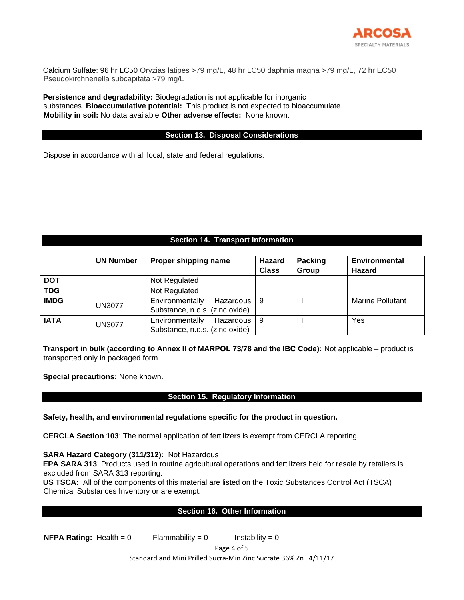

Calcium Sulfate: 96 hr LC50 Oryzias latipes >79 mg/L, 48 hr LC50 daphnia magna >79 mg/L, 72 hr EC50 Pseudokirchneriella subcapitata >79 mg/L

**Persistence and degradability:** Biodegradation is not applicable for inorganic substances. **Bioaccumulative potential:** This product is not expected to bioaccumulate. **Mobility in soil:** No data available **Other adverse effects:** None known.

### **Section 13. Disposal Considerations**

Dispose in accordance with all local, state and federal regulations.

# **Section 14. Transport Information**

|             | <b>UN Number</b> | Proper shipping name                                             | Hazard<br><b>Class</b> | <b>Packing</b><br>Group | Environmental<br>Hazard |
|-------------|------------------|------------------------------------------------------------------|------------------------|-------------------------|-------------------------|
| <b>DOT</b>  |                  | Not Regulated                                                    |                        |                         |                         |
| <b>TDG</b>  |                  | Not Regulated                                                    |                        |                         |                         |
| <b>IMDG</b> | <b>UN3077</b>    | Environmentally<br>Hazardous I<br>Substance, n.o.s. (zinc oxide) | . 9                    | $\mathbf{III}$          | <b>Marine Pollutant</b> |
| <b>IATA</b> | <b>UN3077</b>    | Environmentally<br>Hazardous<br>Substance, n.o.s. (zinc oxide)   | - 9                    | $\mathbf{III}$          | Yes                     |

**Transport in bulk (according to Annex II of MARPOL 73/78 and the IBC Code):** Not applicable – product is transported only in packaged form.

**Special precautions:** None known.

# **Section 15. Regulatory Information**

**Safety, health, and environmental regulations specific for the product in question.** 

**CERCLA Section 103**: The normal application of fertilizers is exempt from CERCLA reporting.

**SARA Hazard Category (311/312):** Not Hazardous

**EPA SARA 313**: Products used in routine agricultural operations and fertilizers held for resale by retailers is excluded from SARA 313 reporting.

**US TSCA:** All of the components of this material are listed on the Toxic Substances Control Act (TSCA) Chemical Substances Inventory or are exempt.

# **Section 16. Other Information**

**NFPA Rating:**  $\text{Health} = 0$  Flammability = 0 Instability = 0

Page 4 of 5

Standard and Mini Prilled Sucra-Min Zinc Sucrate 36% Zn 4/11/17